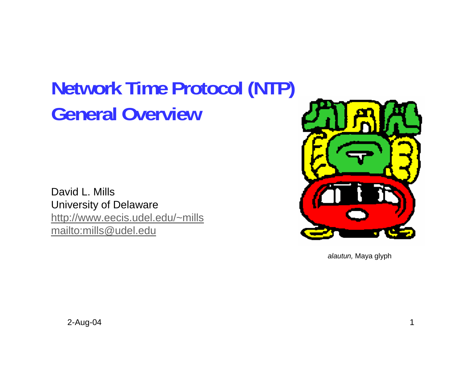# **Network Time Protocol (NTP) General Overview**

David L. MillsUniversity of Delaware http://www.eecis.udel.edu/~mills mailto:mills@udel.edu



*alautun,* Maya glyph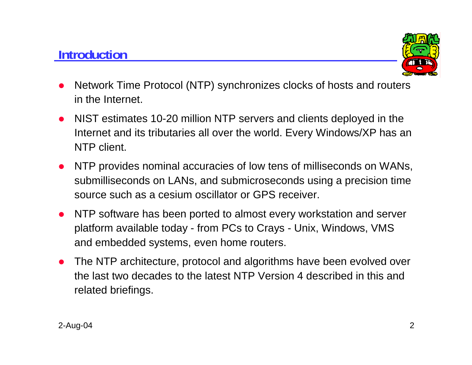#### **Introduction**



- $\bullet$  Network Time Protocol (NTP) synchronizes clocks of hosts and routers in the Internet.
- NIST estimates 10-20 million NTP servers and clients deployed in the Internet and its tributaries all over the world. Every Windows/XP has an NTP client.
- $\bullet$  NTP provides nominal accuracies of low tens of milliseconds on WANs, submilliseconds on LANs, and submicroseconds using a precision time source such as a cesium oscillator or GPS receiver.
- NTP software has been ported to almost every workstation and server platform available today - from PCs to Crays - Unix, Windows, VMS and embedded systems, even home routers.
- The NTP architecture, protocol and algorithms have been evolved over the last two decades to the latest NTP Version 4 described in this and related briefings.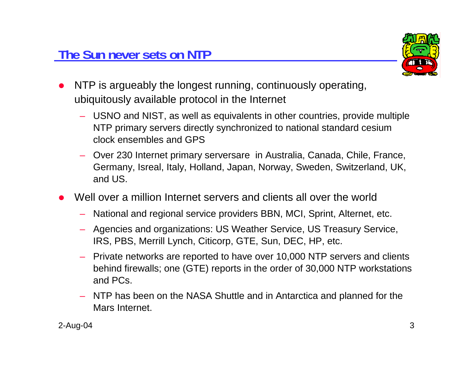

- $\bullet$  NTP is argueably the longest running, continuously operating, ubiquitously available protocol in the Internet
	- USNO and NIST, as well as equivalents in other countries, provide multiple NTP primary servers directly synchronized to national standard cesium clock ensembles and GPS
	- Over 230 Internet primary serversare in Australia, Canada, Chile, France, Germany, Isreal, Italy, Holland, Japan, Norway, Sweden, Switzerland, UK, and US.
- O Well over a million Internet servers and clients all over the world
	- National and regional service providers BBN, MCI, Sprint, Alternet, etc.
	- Agencies and organizations: US Weather Service, US Treasury Service, IRS, PBS, Merrill Lynch, Citicorp, GTE, Sun, DEC, HP, etc.
	- Private networks are reported to have over 10,000 NTP servers and clients behind firewalls; one (GTE) reports in the order of 30,000 NTP workstations and PCs.
	- NTP has been on the NASA Shuttle and in Antarctica and planned for the Mars Internet.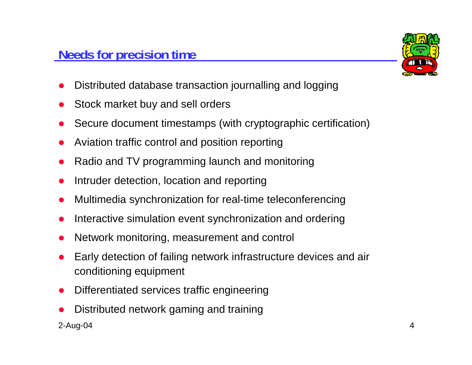

- O Distributed database transaction journalling and logging
- O Stock market buy and sell orders
- O Secure document timestamps (with cryptographic certification)
- O Aviation traffic control and position reporting
- O Radio and TV programming launch and monitoring
- O Intruder detection, location and reporting
- O Multimedia synchronization for real-time teleconferencing
- O Interactive simulation event synchronization and ordering
- O Network monitoring, measurement and control
- O Early detection of failing network infrastructure devices and air conditioning equipment
- O Differentiated services traffic engineering
- O Distributed network gaming and training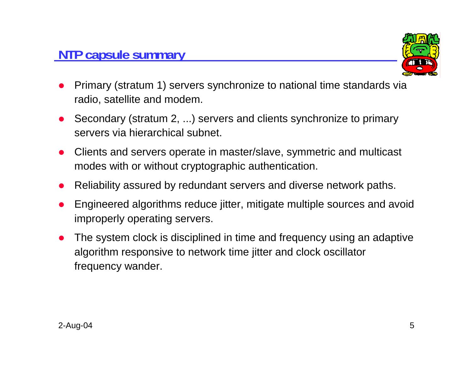#### **NTP capsule summary**



- O Primary (stratum 1) servers synchronize to national time standards via radio, satellite and modem.
- O Secondary (stratum 2, ...) servers and clients synchronize to primary servers via hierarchical subnet.
- O Clients and servers operate in master/slave, symmetric and multicast modes with or without cryptographic authentication.
- O Reliability assured by redundant servers and diverse network paths.
- O Engineered algorithms reduce jitter, mitigate multiple sources and avoid improperly operating servers.
- O The system clock is disciplined in time and frequency using an adaptive algorithm responsive to network time jitter and clock oscillator frequency wander.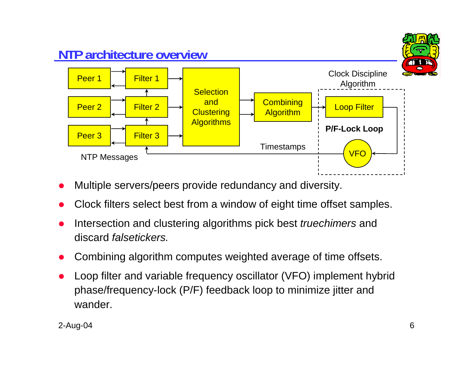

- O Multiple servers/peers provide redundancy and diversity.
- O Clock filters select best from a window of eight time offset samples.
- O Intersection and clustering algorithms pick best *truechimers* and discard *falsetickers.*
- O Combining algorithm computes weighted average of time offsets.
- O Loop filter and variable frequency oscillator (VFO) implement hybrid phase/frequency-lock (P/F) feedback loop to minimize jitter and wander.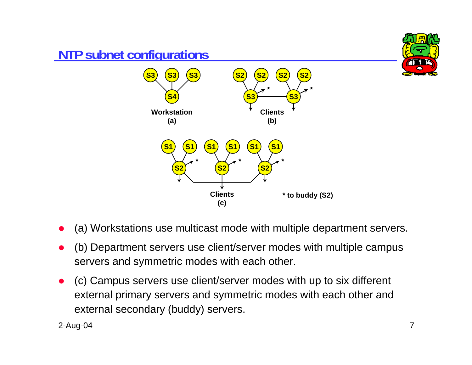

- O (a) Workstations use multicast mode with multiple department servers.
- O (b) Department servers use client/server modes with multiple campus servers and symmetric modes with each other.
- O (c) Campus servers use client/server modes with up to six different external primary servers and symmetric modes with each other and external secondary (buddy) servers.

2-Aug-04 7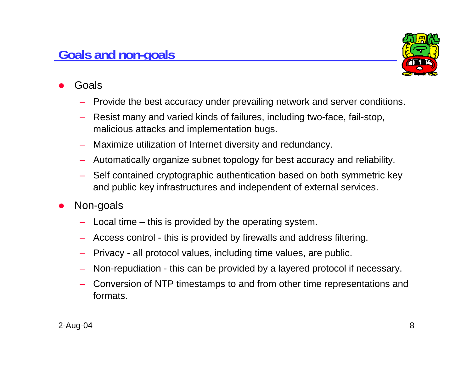#### 2-Aug-04 8

# **Goals and non-goals**

- O Goals
	- Provide the best accuracy under prevailing network and server conditions.
	- Resist many and varied kinds of failures, including two-face, fail-stop, malicious attacks and implementation bugs.
	- Maximize utilization of Internet diversity and redundancy.
	- Automatically organize subnet topology for best accuracy and reliability.
	- Self contained cryptographic authentication based on both symmetric key and public key infrastructures and independent of external services.
- O Non-goals
	- Local time this is provided by the operating system.
	- Access control this is provided by firewalls and address filtering.
	- Privacy all protocol values, including time values, are public.
	- Non-repudiation this can be provided by a layered protocol if necessary.
	- Conversion of NTP timestamps to and from other time representations and formats.

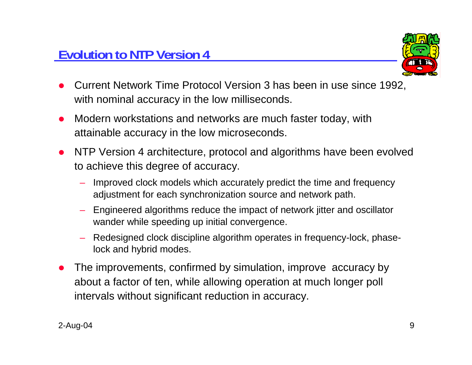

- O Current Network Time Protocol Version 3 has been in use since 1992, with nominal accuracy in the low milliseconds.
- $\bullet$  Modern workstations and networks are much faster today, with attainable accuracy in the low microseconds.
- $\bullet$  NTP Version 4 architecture, protocol and algorithms have been evolved to achieve this degree of accuracy.
	- Improved clock models which accurately predict the time and frequency adjustment for each synchronization source and network path.
	- – Engineered algorithms reduce the impact of network jitter and oscillator wander while speeding up initial convergence.
	- Redesigned clock discipline algorithm operates in frequency-lock, phaselock and hybrid modes.
- O The improvements, confirmed by simulation, improve accuracy by about a factor of ten, while allowing operation at much longer poll intervals without significant reduction in accuracy.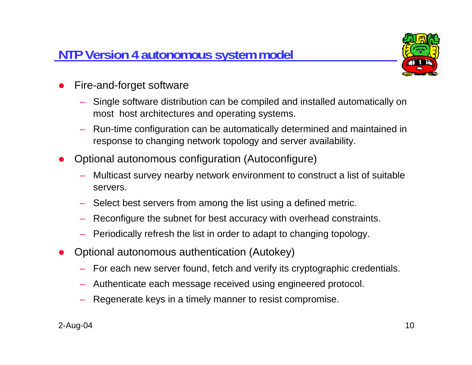#### **NTP Version 4 autonomous system model**



- O Fire-and-forget software
	- Single software distribution can be compiled and installed automatically on most host architectures and operating systems.
	- Run-time configuration can be automatically determined and maintained in response to changing network topology and server availability.
- O Optional autonomous configuration (Autoconfigure)
	- Multicast survey nearby network environment to construct a list of suitable servers.
	- Select best servers from among the list using a defined metric.
	- Reconfigure the subnet for best accuracy with overhead constraints.
	- Periodically refresh the list in order to adapt to changing topology.
- O Optional autonomous authentication (Autokey)
	- For each new server found, fetch and verify its cryptographic credentials.
	- Authenticate each message received using engineered protocol.
	- Regenerate keys in a timely manner to resist compromise.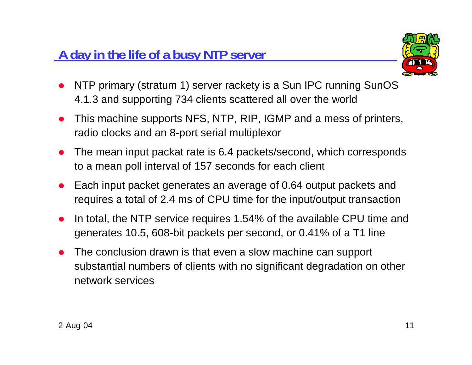### **A day in the life of a busy NTP server**



- O NTP primary (stratum 1) server rackety is a Sun IPC running SunOS 4.1.3 and supporting 734 clients scattered all over the world
- O This machine supports NFS, NTP, RIP, IGMP and a mess of printers, radio clocks and an 8-port serial multiplexor
- O The mean input packat rate is 6.4 packets/second, which corresponds to a mean poll interval of 157 seconds for each client
- O Each input packet generates an average of 0.64 output packets and requires a total of 2.4 ms of CPU time for the input/output transaction
- O In total, the NTP service requires 1.54% of the available CPU time and generates 10.5, 608-bit packets per second, or 0.41% of a T1 line
- O The conclusion drawn is that even a slow machine can support substantial numbers of clients with no significant degradation on other network services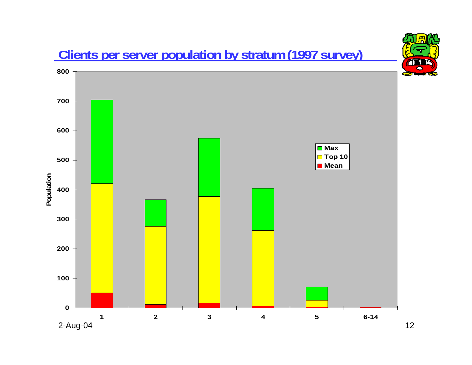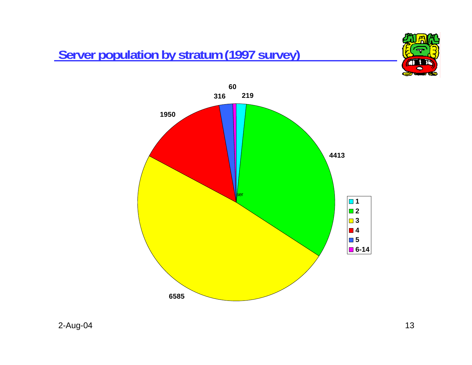### **Server population by stratum (1997 survey)**



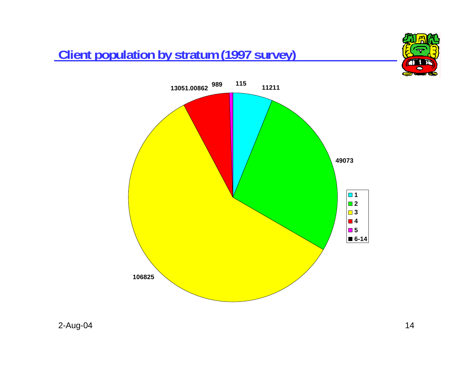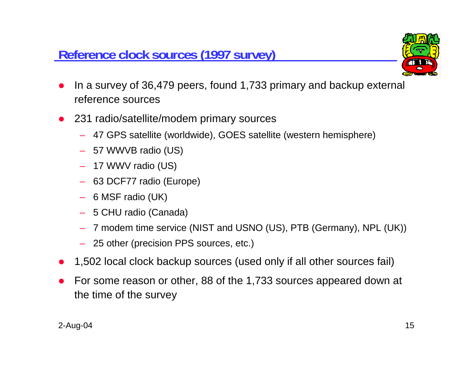#### **Reference clock sources (1997 survey)**



- O In a survey of 36,479 peers, found 1,733 primary and backup external reference sources
- 231 radio/satellite/modem primary sources
	- 47 GPS satellite (worldwide), GOES satellite (western hemisphere)
	- 57 WWVB radio (US)
	- 17 WWV radio (US)
	- 63 DCF77 radio (Europe)
	- 6 MSF radio (UK)
	- 5 CHU radio (Canada)
	- 7 modem time service (NIST and USNO (US), PTB (Germany), NPL (UK))
	- 25 other (precision PPS sources, etc.)
- O 1,502 local clock backup sources (used only if all other sources fail)
- O For some reason or other, 88 of the 1,733 sources appeared down at the time of the survey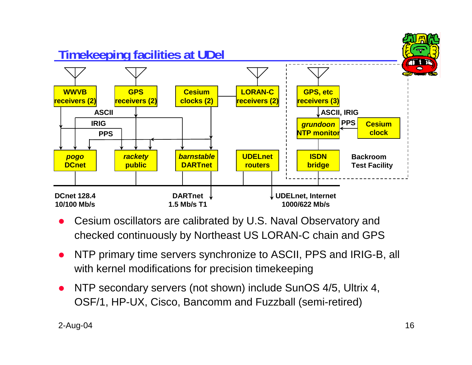

- O Cesium oscillators are calibrated by U.S. Naval Observatory and checked continuously by Northeast US LORAN-C chain and GPS
- $\bullet$  NTP primary time servers synchronize to ASCII, PPS and IRIG-B, all with kernel modifications for precision timekeeping
- O NTP secondary servers (not shown) include SunOS 4/5, Ultrix 4, OSF/1, HP-UX, Cisco, Bancomm and Fuzzball (semi-retired)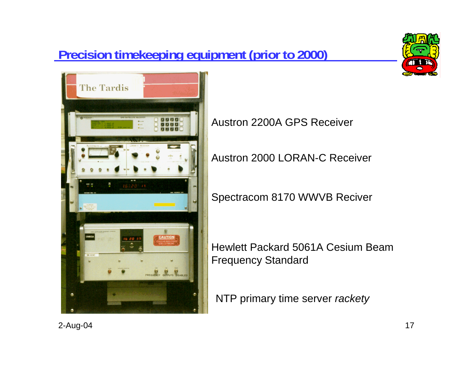# **Precision timekeeping equipment (prior to 2000)**





Austron 2200A GPS Receiver

Austron 2000 LORAN-C Receiver

Spectracom 8170 WWVB Reciver

Hewlett Packard 5061A Cesium BeamFrequency Standard

NTP primary time server *rackety*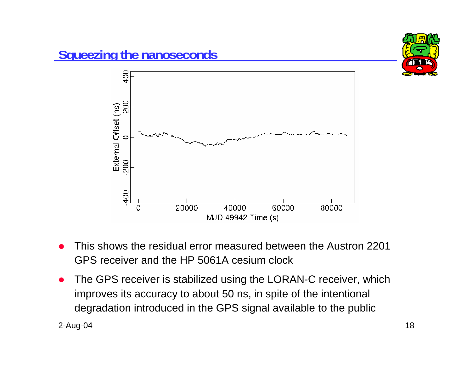

- O This shows the residual error measured between the Austron 2201 GPS receiver and the HP 5061A cesium clock
- O The GPS receiver is stabilized using the LORAN-C receiver, which improves its accuracy to about 50 ns, in spite of the intentional degradation introduced in the GPS signal available to the public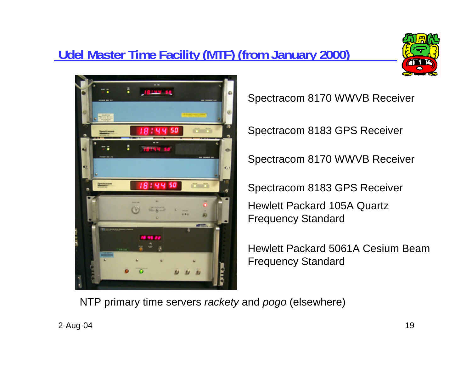# **Udel Master Time Facility (MTF) (from January 2000)**





Spectracom 8170 WWVB Receiver

Spectracom 8183 GPS Receiver

Spectracom 8170 WWVB Receiver

Spectracom 8183 GPS Receiver Hewlett Packard 105A Quartz Frequency Standard

Hewlett Packard 5061A Cesium BeamFrequency Standard

NTP primary time servers *rackety* and *pogo* (elsewhere)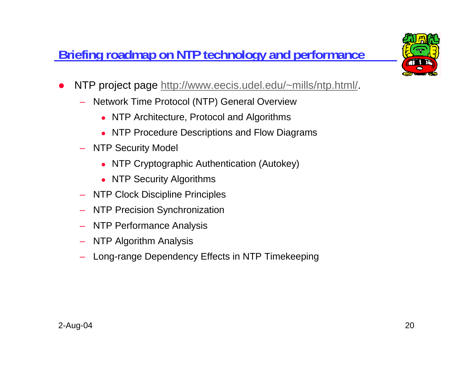# **Briefing roadmap on NTP technology and performance**



- $\bullet$  NTP project page http://www.eecis.udel.edu/~mills/ntp.html/.
	- Network Time Protocol (NTP) General Overview
		- NTP Architecture, Protocol and Algorithms
		- NTP Procedure Descriptions and Flow Diagrams
	- NTP Security Model
		- NTP Cryptographic Authentication (Autokey)
		- NTP Security Algorithms
	- NTP Clock Discipline Principles
	- –NTP Precision Synchronization
	- NTP Performance Analysis
	- NTP Algorithm Analysis
	- Long-range Dependency Effects in NTP Timekeeping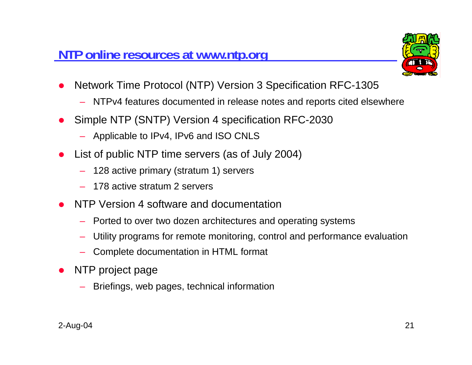

- O Network Time Protocol (NTP) Version 3 Specification RFC-1305
	- NTPv4 features documented in release notes and reports cited elsewhere
- O Simple NTP (SNTP) Version 4 specification RFC-2030
	- Applicable to IPv4, IPv6 and ISO CNLS
- O List of public NTP time servers (as of July 2004)
	- 128 active primary (stratum 1) servers
	- 178 active stratum 2 servers
- O NTP Version 4 software and documentation
	- Ported to over two dozen architectures and operating systems
	- Utility programs for remote monitoring, control and performance evaluation
	- Complete documentation in HTML format
- $\bullet$  NTP project page
	- Briefings, web pages, technical information